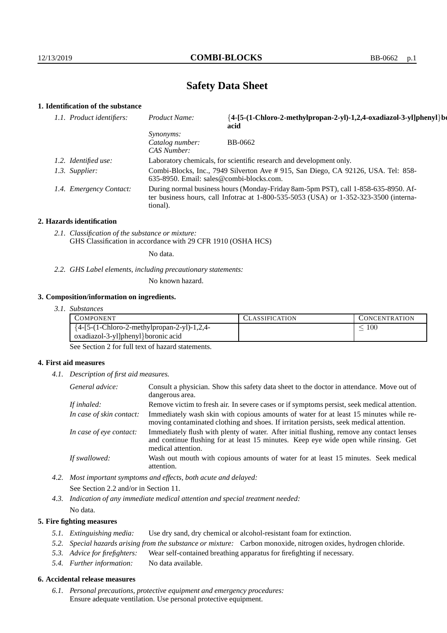# **Safety Data Sheet**

# **1. Identification of the substance**

| 1.1. Product identifiers: | Product Name:                                      | {4-[5-(1-Chloro-2-methylpropan-2-yl)-1,2,4-oxadiazol-3-yl]phenyl}bo<br>acid                                                                                                     |
|---------------------------|----------------------------------------------------|---------------------------------------------------------------------------------------------------------------------------------------------------------------------------------|
|                           | <i>Synonyms:</i><br>Catalog number:<br>CAS Number: | BB-0662                                                                                                                                                                         |
| 1.2. Identified use:      |                                                    | Laboratory chemicals, for scientific research and development only.                                                                                                             |
| 1.3. Supplier:            | $635-8950$ . Email: sales@combi-blocks.com.        | Combi-Blocks, Inc., 7949 Silverton Ave # 915, San Diego, CA 92126, USA. Tel: 858-                                                                                               |
| 1.4. Emergency Contact:   | tional).                                           | During normal business hours (Monday-Friday 8am-5pm PST), call 1-858-635-8950. Af-<br>ter business hours, call Infotrac at $1-800-535-5053$ (USA) or $1-352-323-3500$ (interna- |

#### **2. Hazards identification**

*2.1. Classification of the substance or mixture:* GHS Classification in accordance with 29 CFR 1910 (OSHA HCS)

No data.

### *2.2. GHS Label elements, including precautionary statements:*

No known hazard.

#### **3. Composition/information on ingredients.**

*3.1. Substances*

| COMPONENT                                      | <b>CLASSIFICATION</b> | <b>CONCENTRATION</b> |
|------------------------------------------------|-----------------------|----------------------|
| $\{4-[5-(1-Chloro-2-methylpropan-2-yl)-1,2,4-$ |                       | 100                  |
| oxadiazol-3-yl]phenyl}boronic acid             |                       |                      |

See Section 2 for full text of hazard statements.

### **4. First aid measures**

*4.1. Description of first aid measures.*

| General advice:          | Consult a physician. Show this safety data sheet to the doctor in attendance. Move out of<br>dangerous area.                                                                                            |
|--------------------------|---------------------------------------------------------------------------------------------------------------------------------------------------------------------------------------------------------|
| If inhaled:              | Remove victim to fresh air. In severe cases or if symptoms persist, seek medical attention.                                                                                                             |
| In case of skin contact: | Immediately wash skin with copious amounts of water for at least 15 minutes while re-<br>moving contaminated clothing and shoes. If irritation persists, seek medical attention.                        |
| In case of eye contact:  | Immediately flush with plenty of water. After initial flushing, remove any contact lenses<br>and continue flushing for at least 15 minutes. Keep eye wide open while rinsing. Get<br>medical attention. |
| If swallowed:            | Wash out mouth with copious amounts of water for at least 15 minutes. Seek medical<br>attention.                                                                                                        |

- *4.2. Most important symptoms and effects, both acute and delayed:* See Section 2.2 and/or in Section 11.
- *4.3. Indication of any immediate medical attention and special treatment needed:* No data.

### **5. Fire fighting measures**

- *5.1. Extinguishing media:* Use dry sand, dry chemical or alcohol-resistant foam for extinction.
- *5.2. Special hazards arising from the substance or mixture:* Carbon monoxide, nitrogen oxides, hydrogen chloride.
- *5.3. Advice for firefighters:* Wear self-contained breathing apparatus for firefighting if necessary.
- *5.4. Further information:* No data available.

### **6. Accidental release measures**

*6.1. Personal precautions, protective equipment and emergency procedures:* Ensure adequate ventilation. Use personal protective equipment.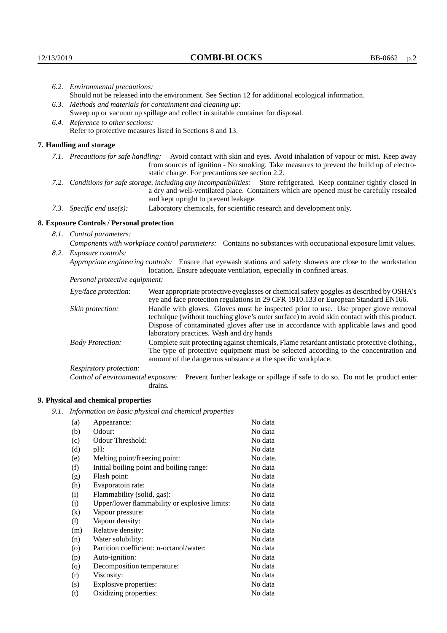|                                   | 6.2. Environmental precautions:                                                                                                                                                                                                                            |                                                                                                                                                                                                                                                                    |  |
|-----------------------------------|------------------------------------------------------------------------------------------------------------------------------------------------------------------------------------------------------------------------------------------------------------|--------------------------------------------------------------------------------------------------------------------------------------------------------------------------------------------------------------------------------------------------------------------|--|
|                                   |                                                                                                                                                                                                                                                            | Should not be released into the environment. See Section 12 for additional ecological information.                                                                                                                                                                 |  |
|                                   | 6.3. Methods and materials for containment and cleaning up:                                                                                                                                                                                                |                                                                                                                                                                                                                                                                    |  |
|                                   | Sweep up or vacuum up spillage and collect in suitable container for disposal.                                                                                                                                                                             |                                                                                                                                                                                                                                                                    |  |
| 6.4. Reference to other sections: |                                                                                                                                                                                                                                                            |                                                                                                                                                                                                                                                                    |  |
|                                   |                                                                                                                                                                                                                                                            | Refer to protective measures listed in Sections 8 and 13.                                                                                                                                                                                                          |  |
|                                   | 7. Handling and storage                                                                                                                                                                                                                                    |                                                                                                                                                                                                                                                                    |  |
|                                   |                                                                                                                                                                                                                                                            | 7.1. Precautions for safe handling: Avoid contact with skin and eyes. Avoid inhalation of vapour or mist. Keep away<br>from sources of ignition - No smoking. Take measures to prevent the build up of electro-<br>static charge. For precautions see section 2.2. |  |
|                                   | 7.2. Conditions for safe storage, including any incompatibilities: Store refrigerated. Keep container tightly closed in<br>a dry and well-ventilated place. Containers which are opened must be carefully resealed<br>and kept upright to prevent leakage. |                                                                                                                                                                                                                                                                    |  |
|                                   | 7.3. Specific end use(s):                                                                                                                                                                                                                                  | Laboratory chemicals, for scientific research and development only.                                                                                                                                                                                                |  |
|                                   | 8. Exposure Controls / Personal protection                                                                                                                                                                                                                 |                                                                                                                                                                                                                                                                    |  |
|                                   | 8.1. Control parameters:                                                                                                                                                                                                                                   |                                                                                                                                                                                                                                                                    |  |
|                                   | Components with workplace control parameters: Contains no substances with occupational exposure limit values.                                                                                                                                              |                                                                                                                                                                                                                                                                    |  |
|                                   | 8.2. Exposure controls:                                                                                                                                                                                                                                    |                                                                                                                                                                                                                                                                    |  |
|                                   | Appropriate engineering controls: Ensure that eyewash stations and safety showers are close to the workstation<br>location. Ensure adequate ventilation, especially in confined areas.                                                                     |                                                                                                                                                                                                                                                                    |  |
|                                   | Personal protective equipment:                                                                                                                                                                                                                             |                                                                                                                                                                                                                                                                    |  |
|                                   | Eye/face protection:                                                                                                                                                                                                                                       | Wear appropriate protective eyeglasses or chemical safety goggles as described by OSHA's<br>eye and face protection regulations in 29 CFR 1910.133 or European Standard EN166.                                                                                     |  |
|                                   | Skin protection:                                                                                                                                                                                                                                           | Handle with gloves. Gloves must be inspected prior to use. Use proper glove removal<br>technique (without touching glove's outer surface) to avoid skin contact with this product.                                                                                 |  |

## **8. Exposure Controls / Personal protection**

| Eye/face protection:               | Wear appropriate protective eyeglasses or chemical safety goggles as described by OSHA's<br>eye and face protection regulations in 29 CFR 1910.133 or European Standard EN166.                                                                                                                                         |
|------------------------------------|------------------------------------------------------------------------------------------------------------------------------------------------------------------------------------------------------------------------------------------------------------------------------------------------------------------------|
| Skin protection:                   | Handle with gloves. Gloves must be inspected prior to use. Use proper glove removal<br>technique (without touching glove's outer surface) to avoid skin contact with this product.<br>Dispose of contaminated gloves after use in accordance with applicable laws and good<br>laboratory practices. Wash and dry hands |
| <b>Body Protection:</b>            | Complete suit protecting against chemicals, Flame retardant antistatic protective clothing.,<br>The type of protective equipment must be selected according to the concentration and<br>amount of the dangerous substance at the specific workplace.                                                                   |
| Respiratory protection:            |                                                                                                                                                                                                                                                                                                                        |
| Control of environmental exposure: | Prevent further leakage or spillage if safe to do so. Do not let product enter<br>drains.                                                                                                                                                                                                                              |

# **9. Physical and chemical properties**

*9.1. Information on basic physical and chemical properties*

| (a)      | Appearance:                                   | No data  |
|----------|-----------------------------------------------|----------|
| (b)      | Odour:                                        | No data  |
| (c)      | Odour Threshold:                              | No data  |
| (d)      | pH:                                           | No data  |
| (e)      | Melting point/freezing point:                 | No date. |
| (f)      | Initial boiling point and boiling range:      | No data  |
| (g)      | Flash point:                                  | No data  |
| (h)      | Evaporatoin rate:                             | No data  |
| (i)      | Flammability (solid, gas):                    | No data  |
| (j)      | Upper/lower flammability or explosive limits: | No data  |
| $\rm(k)$ | Vapour pressure:                              | No data  |
| (1)      | Vapour density:                               | No data  |
| (m)      | Relative density:                             | No data  |
| (n)      | Water solubility:                             | No data  |
| $\circ$  | Partition coefficient: n-octanol/water:       | No data  |
| (p)      | Auto-ignition:                                | No data  |
| (q)      | Decomposition temperature:                    | No data  |
| (r)      | Viscosity:                                    | No data  |
| (s)      | Explosive properties:                         | No data  |
| (t)      | Oxidizing properties:                         | No data  |